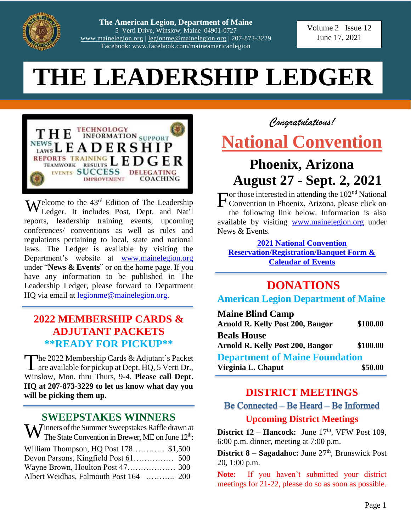

**The American Legion, Department of Maine**  5 Verti Drive, Winslow, Maine 04901-0727 [www.mainelegion.org](http://www.mainelegion.org/) | [legionme@mainelegion.org](mailto:legionme@mainelegion.org) | 207-873-3229 Facebook: www.facebook.com/maineamericanlegion

Volume 2 Issue 12 June 17, 2021

# **THE LEADERSHIP LEDGER**



**W** elcome to the 43<sup>rd</sup> Edition of The Leadership Ledger. It includes Post, Dept. and Nat'l Ledger. It includes Post, Dept. and Nat'l reports, leadership training events, upcoming conferences/ conventions as well as rules and regulations pertaining to local, state and national laws. The Ledger is available by visiting the Department's website at [www.mainelegion.org](http://www.mainelegion.org/) under "**News & Events**" or on the home page. If you have any information to be published in The Leadership Ledger, please forward to Department HQ via email at [legionme@mainelegion.org.](mailto:legionme@mainelegion.org)

# **2022 MEMBERSHIP CARDS & ADJUTANT PACKETS \*\*READY FOR PICKUP\*\***

The 2022 Membership Cards & Adjutant's Packet<br>are available for pickup at Dept. HQ, 5 Verti Dr.,  $\blacktriangle$  are available for pickup at Dept. HO, 5 Verti Dr., Winslow, Mon. thru Thurs, 9-4. **Please call Dept. HQ at 207-873-3229 to let us know what day you will be picking them up.** 

### **SWEEPSTAKES WINNERS**

 $\mathbf{W}$  inners of the Summer Sweepstakes Raffle drawn at The State Convention in Brewer, ME on June 12<sup>th</sup>: The State Convention in Brewer, ME on June  $12<sup>th</sup>$ : William Thompson, HQ Post 178………… \$1,500 Devon Parsons, Kingfield Post 61…………… 500 Wayne Brown, Houlton Post 47……………… 300 Albert Weidhas, Falmouth Post 164 ……….. 200

# *Congratulations!* **[National Convention](http://www.legion.org/convention/resources)**

# **Phoenix, Arizona August 27 - Sept. 2, 2021**

or those interested in attending the  $102<sup>nd</sup>$  National Convention in Phoenix, Arizona, please click on the following link below. Information is also available by visiting [www.mainelegion.org](http://www.mainelegion.org/) under News & Events. F

**[2021 National Convention](http://www.mainelegion.org/media/NATIONAL%20CONVENTION/National_Convention_2021_2.pdf)  [Reservation/Registration/Banquet Form &](http://www.mainelegion.org/media/NATIONAL%20CONVENTION/National_Convention_2021_2.pdf) [Calendar of Events](http://www.mainelegion.org/media/NATIONAL%20CONVENTION/National_Convention_2021_2.pdf)**

# **DONATIONS**

**American Legion Department of Maine**

| <b>Maine Blind Camp</b>                 |          |  |
|-----------------------------------------|----------|--|
| <b>Arnold R. Kelly Post 200, Bangor</b> | \$100.00 |  |
| <b>Beals House</b>                      |          |  |
| <b>Arnold R. Kelly Post 200, Bangor</b> | \$100.00 |  |
| <b>Department of Maine Foundation</b>   |          |  |
| Virginia L. Chaput                      | \$50.00  |  |

# **DISTRICT MEETINGS** Be Connected – Be Heard – Be Informed

**Upcoming District Meetings**

**District 12 – Hancock:** June  $17<sup>th</sup>$ , VFW Post 109, 6:00 p.m. dinner, meeting at 7:00 p.m.

District 8 - Sagadahoc: June 27<sup>th</sup>, Brunswick Post 20, 1:00 p.m.

**Note:** If you haven't submitted your district meetings for 21-22, please do so as soon as possible.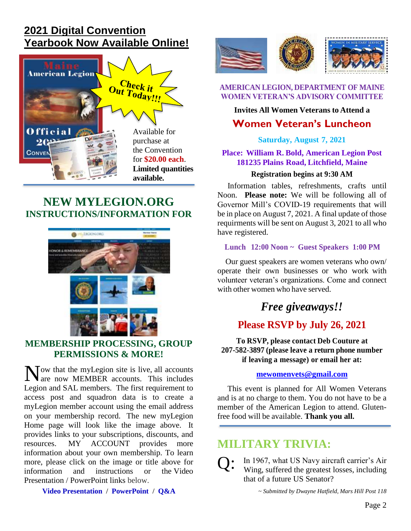# **[2021 Digital Convention](https://indd.adobe.com/view/9a3f816d-3838-4d55-99e3-c7a37f33ac0b)  Yearbook [Now Available Online!](https://indd.adobe.com/view/9a3f816d-3838-4d55-99e3-c7a37f33ac0b)**



### **[NEW MYLEGION.ORG](http://www.mainelegion.org/media/Membership/PPT_MyLegion_Update_Membership_Processing_with_notes.pdf)  [INSTRUCTIONS/INFORMATION FOR](http://www.mainelegion.org/media/Membership/PPT_MyLegion_Update_Membership_Processing_with_notes.pdf)**



#### **[MEMBERSHIP PROCESSING, GROUP](http://www.mainelegion.org/media/Membership/PPT_MyLegion_Update_Membership_Processing_with_notes.pdf)  [PERMISSIONS & MORE!](http://www.mainelegion.org/media/Membership/PPT_MyLegion_Update_Membership_Processing_with_notes.pdf)**

Now that the myLegion site is live, all accounts<br>are now MEMBER accounts. This includes are now MEMBER accounts. This includes Legion and SAL members. The first requirement to access post and squadron data is to create a myLegion member account using the email address on your membership record. The new myLegion Home page will look like the image above. It provides links to your subscriptions, discounts, and resources. MY ACCOUNT provides more information about your own membership. To learn more, please click on the image or title above for information and instructions or the Video Presentation / PowerPoint links below.

**[Video Presentation](https://vimeo.com/518232870) / [PowerPoint](https://www.legion.org/documents/training/training-tuesdays/PPT_MyLegion_Update_Membership_Processing.pptx) / [Q&A](https://www.legion.org/training/251904/training-tuesday-mylegion-update-membership-processing-qa)**



**AMERICAN LEGION, DEPARTMENT OF MAINE WOMEN VETERAN'S ADVISORY COMMITTEE**

#### **Invites All Women Veterans to Attend a**

### **Women Veteran's Luncheon**

#### **Saturday, August 7, 2021**

#### **Place: William R. Bold, American Legion Post 181235 Plains Road, Litchfield, Maine**

#### **Registration begins at 9:30 AM**

 Information tables, refreshments, crafts until Noon. **Please note:** We will be following all of Governor Mill's COVID-19 requirements that will be in place on August 7, 2021. A final update of those requirments will be sent on August 3, 2021 to all who have registered.

#### **Lunch 12:00 Noon ~ Guest Speakers 1:00 PM**

 Our guest speakers are women veterans who own/ operate their own businesses or who work with volunteer veteran's organizations. Come and connect with other women who have served.

# *Free giveaways!!*

### **Please RSVP by July 26, 2021**

**To RSVP, please contact Deb Couture at 207-582-3897 (please leave a return phone number if leaving a message) or email her at:**

#### **[mewomenvets@gmail.com](mailto:mewomenvets@gmail.com)**

 This event is planned for All Women Veterans and is at no charge to them. You do not have to be a member of the American Legion to attend. Glutenfree food will be available. **Thank you all.**

# **MILITARY TRIVIA:**

In 1967, what US Navy aircraft carrier's Air Wing, suffered the greatest losses, including that of a future US Senator? Q:

*~ Submitted by Dwayne Hatfield, Mars Hill Post 118*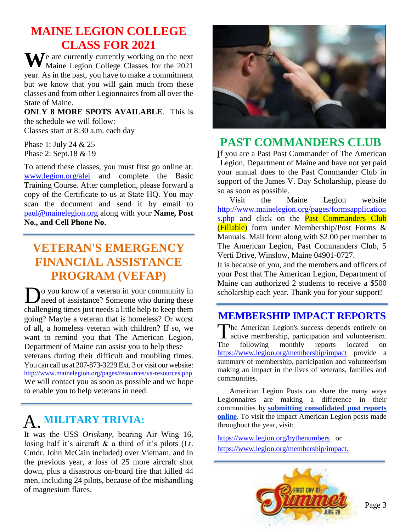# **MAINE LEGION COLLEGE CLASS FOR 2021**

We are currently currently working on the next Maine Legion College Classes for the 2021 Maine Legion College Classes for the 2021 year. As in the past, you have to make a commitment but we know that you will gain much from these classes and from other Legionnaires from all over the State of Maine.

**ONLY 8 MORE SPOTS AVAILABLE**. This is the schedule we will follow:

Classes start at 8:30 a.m. each day

Phase 1: July 24 & 25 Phase 2: Sept.18 & 19

To attend these classes, you must first go online at: [www.legion.org/alei](http://www.legion.org/alei) and complete the Basic Training Course. After completion, please forward a copy of the Certificate to us at State HQ. You may scan the document and send it by email to [paul@mainelegion.org](mailto:paul@mainelegion.org) along with your **Name, Post No., and Cell Phone No.** 

# **VETERAN'S EMERGENCY FINANCIAL ASSISTANCE PROGRAM (VEFAP)**

o you know of a veteran in your community in **D**<sup>o</sup> you know of a veteran in your community in need of assistance? Someone who during these challenging times just needs a little help to keep them going? Maybe a veteran that is homeless? Or worst of all, a homeless veteran with children? If so, we want to remind you that The American Legion, Department of Maine can assist you to help these veterans during their difficult and troubling times. You can call us at 207-873-3229 Ext. 3 or visit our website: http://www[.mainelegion.org/](http://www.mainelegion.org/pages/resources/va-resources.php)pages/resources/va[-resources.](http://www.mainelegion.org/pages/resources/va-resources.php)php We will contact you as soon as possible and we hope to enable you to help veterans in need.

# **MILITARY TRIVIA:**  A.

It was the USS *Oriskany*, bearing Air Wing 16, losing half it's aircraft & a third of it's pilots (Lt. Cmdr. John McCain included) over Vietnam, and in the previous year, a loss of 25 more aircraft shot down, plus a disastrous on-board fire that killed 44 men, including 24 pilots, because of the mishandling of magnesium flares.



# **PAST COMMANDERS CLUB**

f you are a Past Post Commander of The American I Legion, Department of Maine and have not yet paid your annual dues to the Past Commander Club in support of the James V. Day Scholarship, please do so as soon as possible.

Visit the Maine Legion website [http://www.mainelegion.org/pages/formsapplication](http://www.mainelegion.org/pages/formsapplications.php) [s.php](http://www.mainelegion.org/pages/formsapplications.php) and click on the **Past Commanders Club** (Fillable) form under Membership/Post Forms & Manuals. Mail form along with \$2.00 per member to The American Legion, Past Commanders Club, 5 Verti Drive, Winslow, Maine 04901-0727.

It is because of you, and the members and officers of your Post that The American Legion, Department of Maine can authorized 2 students to receive a \$500 scholarship each year. Thank you for your support!

# **[MEMBERSHIP IMPACT REPORTS](https://www.legion.org/membership/impact)**

The American Legion's success depends entirely on active membership, participation and volunteerism. **L** active membership, participation and volunteerism. The following monthly reports located on <https://www.legion.org/membership/impact> provide a summary of membership, participation and volunteerism making an impact in the lives of veterans, families and communities.

American Legion Posts can share the many ways Legionnaires are making a difference in their communities by **[submitting consolidated post reports](http://www.mylegion.org/)  [online](http://www.mylegion.org/)**. To visit the impact American Legion posts made throughout the year, visit:

<https://www.legion.org/bythenumbers>or [https://www.legion.org/membership/impact.](https://www.legion.org/membership/impact)